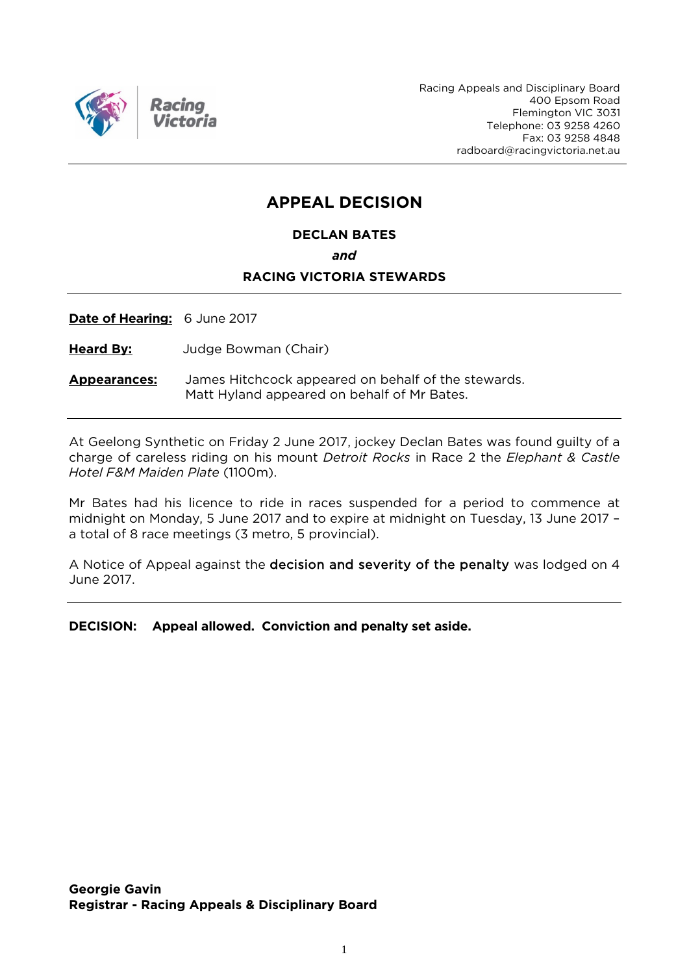

Racing Appeals and Disciplinary Board 400 Epsom Road Flemington VIC 3031 Telephone: 03 9258 4260 Fax: 03 9258 4848 radboard@racingvictoria.net.au

## **APPEAL DECISION**

#### **DECLAN BATES**

*and*

#### **RACING VICTORIA STEWARDS**

**Date of Hearing:** 6 June 2017

**Heard By:** Judge Bowman (Chair)

**Appearances:** James Hitchcock appeared on behalf of the stewards. Matt Hyland appeared on behalf of Mr Bates.

At Geelong Synthetic on Friday 2 June 2017, jockey Declan Bates was found guilty of a charge of careless riding on his mount *Detroit Rocks* in Race 2 the *Elephant & Castle Hotel F&M Maiden Plate* (1100m).

Mr Bates had his licence to ride in races suspended for a period to commence at midnight on Monday, 5 June 2017 and to expire at midnight on Tuesday, 13 June 2017 – a total of 8 race meetings (3 metro, 5 provincial).

A Notice of Appeal against the decision and severity of the penalty was lodged on 4 June 2017.

**DECISION: Appeal allowed. Conviction and penalty set aside.**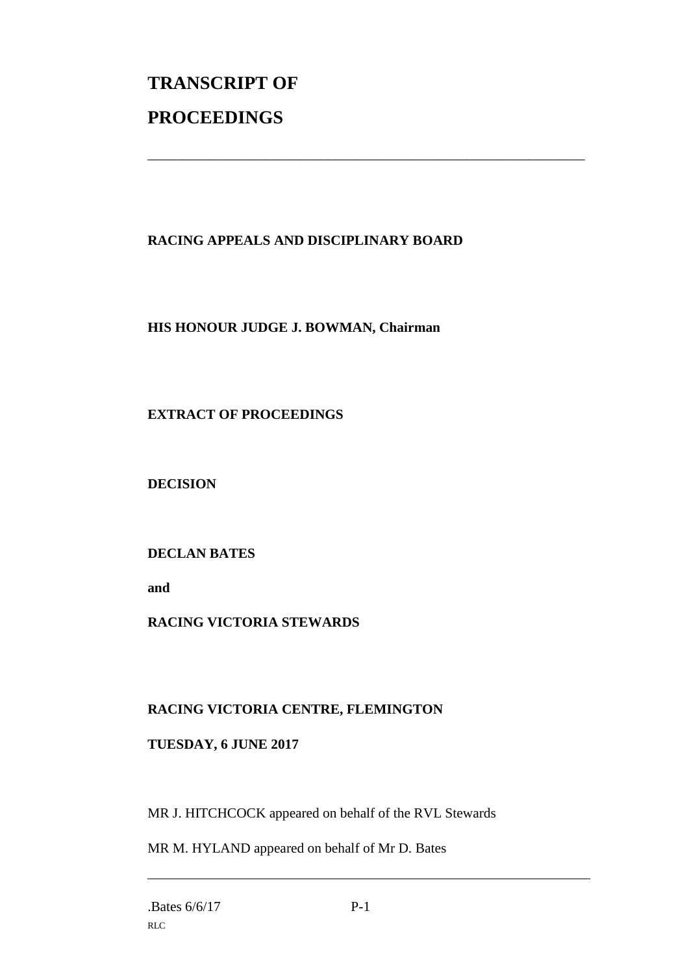# **TRANSCRIPT OF PROCEEDINGS**

### **RACING APPEALS AND DISCIPLINARY BOARD**

\_\_\_\_\_\_\_\_\_\_\_\_\_\_\_\_\_\_\_\_\_\_\_\_\_\_\_\_\_\_\_\_\_\_\_\_\_\_\_\_\_\_\_\_\_\_\_\_\_\_\_\_\_\_\_\_\_\_\_\_\_\_\_

#### **HIS HONOUR JUDGE J. BOWMAN, Chairman**

#### **EXTRACT OF PROCEEDINGS**

**DECISION**

#### **DECLAN BATES**

**and** 

#### **RACING VICTORIA STEWARDS**

#### **RACING VICTORIA CENTRE, FLEMINGTON**

#### **TUESDAY, 6 JUNE 2017**

MR J. HITCHCOCK appeared on behalf of the RVL Stewards

MR M. HYLAND appeared on behalf of Mr D. Bates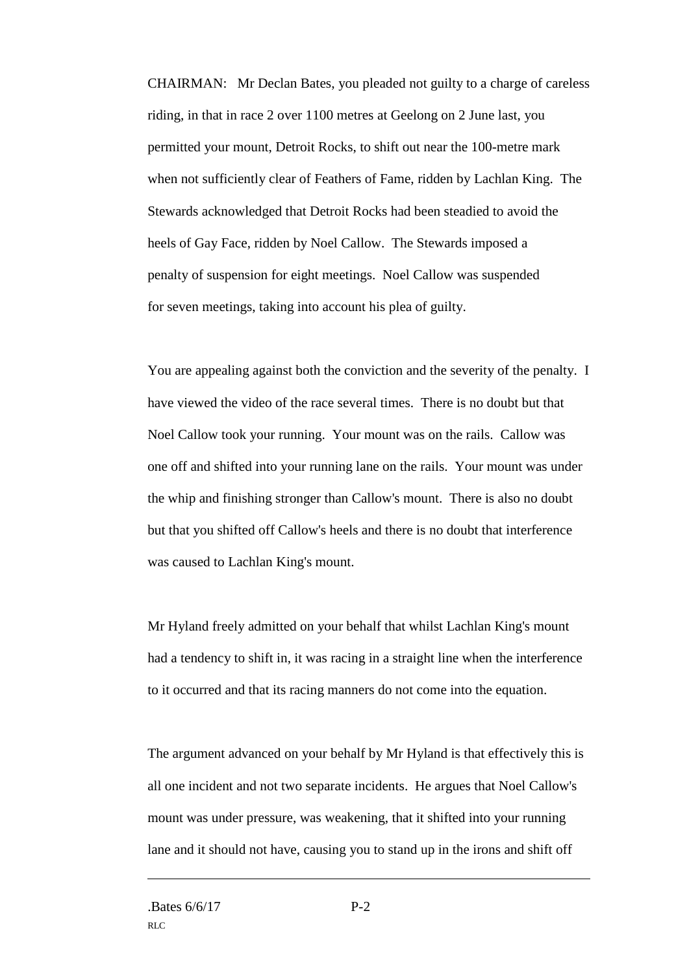CHAIRMAN: Mr Declan Bates, you pleaded not guilty to a charge of careless riding, in that in race 2 over 1100 metres at Geelong on 2 June last, you permitted your mount, Detroit Rocks, to shift out near the 100-metre mark when not sufficiently clear of Feathers of Fame, ridden by Lachlan King. The Stewards acknowledged that Detroit Rocks had been steadied to avoid the heels of Gay Face, ridden by Noel Callow. The Stewards imposed a penalty of suspension for eight meetings. Noel Callow was suspended for seven meetings, taking into account his plea of guilty.

You are appealing against both the conviction and the severity of the penalty. I have viewed the video of the race several times. There is no doubt but that Noel Callow took your running. Your mount was on the rails. Callow was one off and shifted into your running lane on the rails. Your mount was under the whip and finishing stronger than Callow's mount. There is also no doubt but that you shifted off Callow's heels and there is no doubt that interference was caused to Lachlan King's mount.

Mr Hyland freely admitted on your behalf that whilst Lachlan King's mount had a tendency to shift in, it was racing in a straight line when the interference to it occurred and that its racing manners do not come into the equation.

The argument advanced on your behalf by Mr Hyland is that effectively this is all one incident and not two separate incidents. He argues that Noel Callow's mount was under pressure, was weakening, that it shifted into your running lane and it should not have, causing you to stand up in the irons and shift off